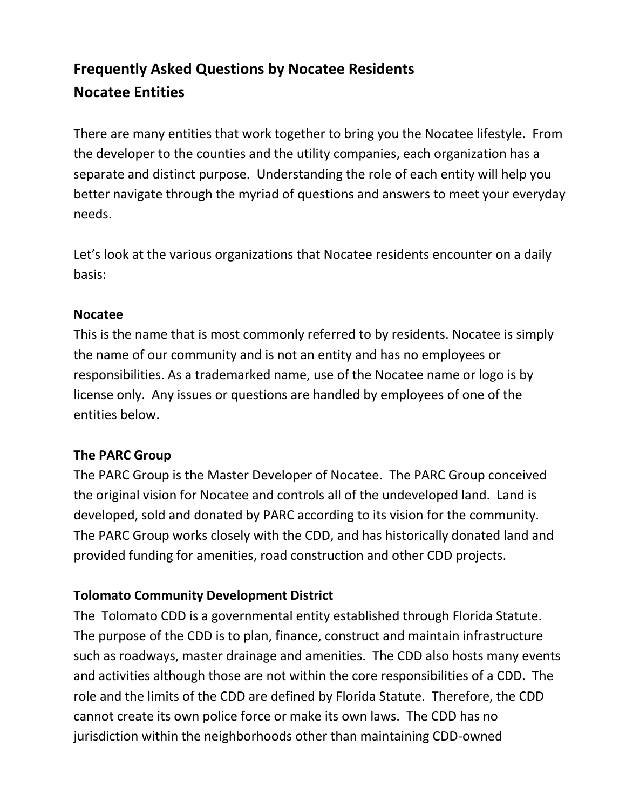# **Frequently Asked Questions by Nocatee Residents Nocatee Entities**

There are many entities that work together to bring you the Nocatee lifestyle. From the developer to the counties and the utility companies, each organization has a separate and distinct purpose. Understanding the role of each entity will help you better navigate through the myriad of questions and answers to meet your everyday needs.

Let's look at the various organizations that Nocatee residents encounter on a daily basis:

# **Nocatee**

This is the name that is most commonly referred to by residents. Nocatee is simply the name of our community and is not an entity and has no employees or responsibilities. As a trademarked name, use of the Nocatee name or logo is by license only. Any issues or questions are handled by employees of one of the entities below.

# **The PARC Group**

The PARC Group is the Master Developer of Nocatee. The PARC Group conceived the original vision for Nocatee and controls all of the undeveloped land. Land is developed, sold and donated by PARC according to its vision for the community. The PARC Group works closely with the CDD, and has historically donated land and provided funding for amenities, road construction and other CDD projects.

# **Tolomato Community Development District**

The Tolomato CDD is a governmental entity established through Florida Statute. The purpose of the CDD is to plan, finance, construct and maintain infrastructure such as roadways, master drainage and amenities. The CDD also hosts many events and activities although those are not within the core responsibilities of a CDD. The role and the limits of the CDD are defined by Florida Statute. Therefore, the CDD cannot create its own police force or make its own laws. The CDD has no jurisdiction within the neighborhoods other than maintaining CDD-owned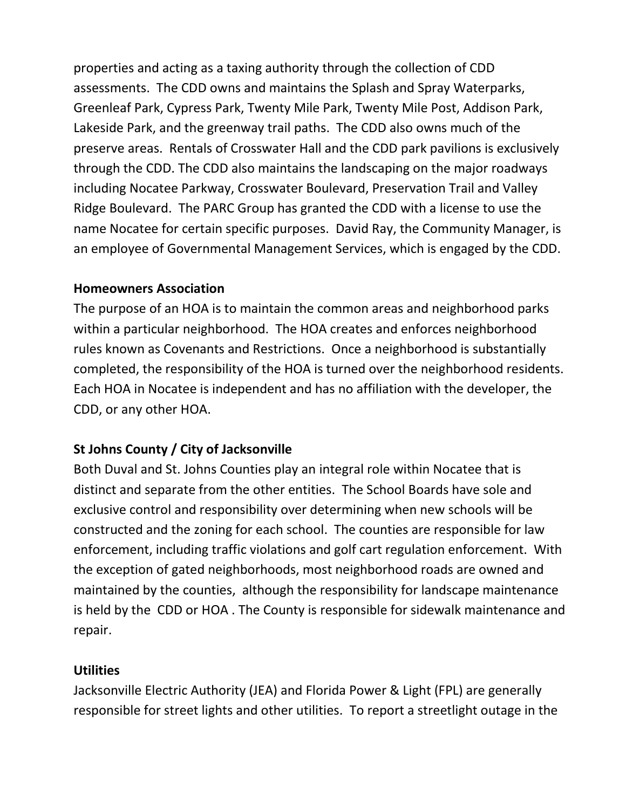properties and acting as a taxing authority through the collection of CDD assessments. The CDD owns and maintains the Splash and Spray Waterparks, Greenleaf Park, Cypress Park, Twenty Mile Park, Twenty Mile Post, Addison Park, Lakeside Park, and the greenway trail paths. The CDD also owns much of the preserve areas. Rentals of Crosswater Hall and the CDD park pavilions is exclusively through the CDD. The CDD also maintains the landscaping on the major roadways including Nocatee Parkway, Crosswater Boulevard, Preservation Trail and Valley Ridge Boulevard. The PARC Group has granted the CDD with a license to use the name Nocatee for certain specific purposes. David Ray, the Community Manager, is an employee of Governmental Management Services, which is engaged by the CDD.

# **Homeowners Association**

The purpose of an HOA is to maintain the common areas and neighborhood parks within a particular neighborhood. The HOA creates and enforces neighborhood rules known as Covenants and Restrictions. Once a neighborhood is substantially completed, the responsibility of the HOA is turned over the neighborhood residents. Each HOA in Nocatee is independent and has no affiliation with the developer, the CDD, or any other HOA.

# **St Johns County / City of Jacksonville**

Both Duval and St. Johns Counties play an integral role within Nocatee that is distinct and separate from the other entities. The School Boards have sole and exclusive control and responsibility over determining when new schools will be constructed and the zoning for each school. The counties are responsible for law enforcement, including traffic violations and golf cart regulation enforcement. With the exception of gated neighborhoods, most neighborhood roads are owned and maintained by the counties, although the responsibility for landscape maintenance is held by the CDD or HOA . The County is responsible for sidewalk maintenance and repair.

# **Utilities**

Jacksonville Electric Authority (JEA) and Florida Power & Light (FPL) are generally responsible for street lights and other utilities. To report a streetlight outage in the